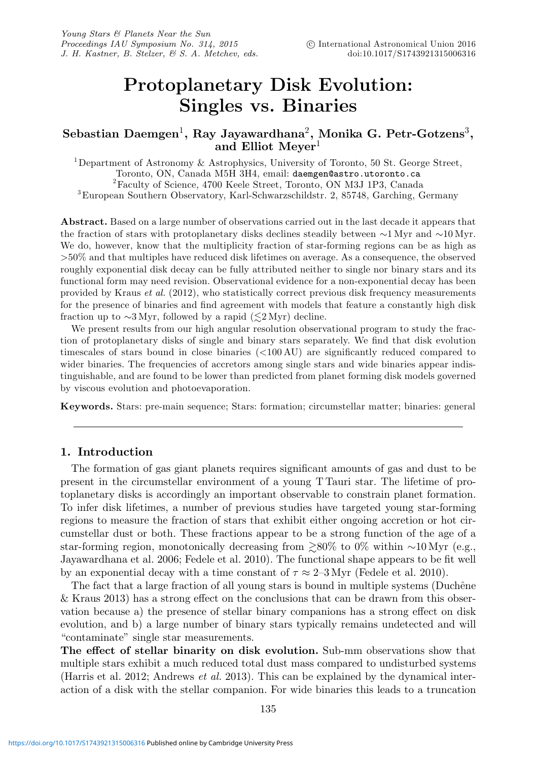# **Protoplanetary Disk Evolution: Singles vs. Binaries**

## **Sebastian Daemgen**1**, Ray Jayawardhana**2**, Monika G. Petr-Gotzens**3**, and Elliot Meyer**<sup>1</sup>

<sup>1</sup>Department of Astronomy & Astrophysics, University of Toronto, 50 St. George Street, Toronto, ON, Canada M5H 3H4, email: daemgen@astro.utoronto.ca <sup>2</sup> Faculty of Science, 4700 Keele Street, Toronto, ON M3J 1P3, Canada  ${}^{3}$ European Southern Observatory, Karl-Schwarzschildstr. 2, 85748, Garching, Germany

**Abstract.** Based on a large number of observations carried out in the last decade it appears that the fraction of stars with protoplanetary disks declines steadily between ∼1 Myr and ∼10 Myr. We do, however, know that the multiplicity fraction of star-forming regions can be as high as >50% and that multiples have reduced disk lifetimes on average. As a consequence, the observed roughly exponential disk decay can be fully attributed neither to single nor binary stars and its functional form may need revision. Observational evidence for a non-exponential decay has been provided by Kraus et al. (2012), who statistically correct previous disk frequency measurements for the presence of binaries and find agreement with models that feature a constantly high disk fraction up to ~3 Myr, followed by a rapid ( $\lesssim$ 2 Myr) decline.

We present results from our high angular resolution observational program to study the fraction of protoplanetary disks of single and binary stars separately. We find that disk evolution timescales of stars bound in close binaries (<100 AU) are significantly reduced compared to wider binaries. The frequencies of accretors among single stars and wide binaries appear indistinguishable, and are found to be lower than predicted from planet forming disk models governed by viscous evolution and photoevaporation.

**Keywords.** Stars: pre-main sequence; Stars: formation; circumstellar matter; binaries: general

#### **1. Introduction**

The formation of gas giant planets requires significant amounts of gas and dust to be present in the circumstellar environment of a young T Tauri star. The lifetime of protoplanetary disks is accordingly an important observable to constrain planet formation. To infer disk lifetimes, a number of previous studies have targeted young star-forming regions to measure the fraction of stars that exhibit either ongoing accretion or hot circumstellar dust or both. These fractions appear to be a strong function of the age of a star-forming region, monotonically decreasing from  $\geq 80\%$  to 0% within ∼10 Myr (e.g., Jayawardhana et al. 2006; Fedele et al. 2010). The functional shape appears to be fit well by an exponential decay with a time constant of  $\tau \approx 2{\text -}3 \text{ Myr}$  (Fedele et al. 2010).

The fact that a large fraction of all young stars is bound in multiple systems (Duchêne & Kraus 2013) has a strong effect on the conclusions that can be drawn from this observation because a) the presence of stellar binary companions has a strong effect on disk evolution, and b) a large number of binary stars typically remains undetected and will "contaminate" single star measurements.

**The effect of stellar binarity on disk evolution.** Sub-mm observations show that multiple stars exhibit a much reduced total dust mass compared to undisturbed systems (Harris et al. 2012; Andrews et al. 2013). This can be explained by the dynamical interaction of a disk with the stellar companion. For wide binaries this leads to a truncation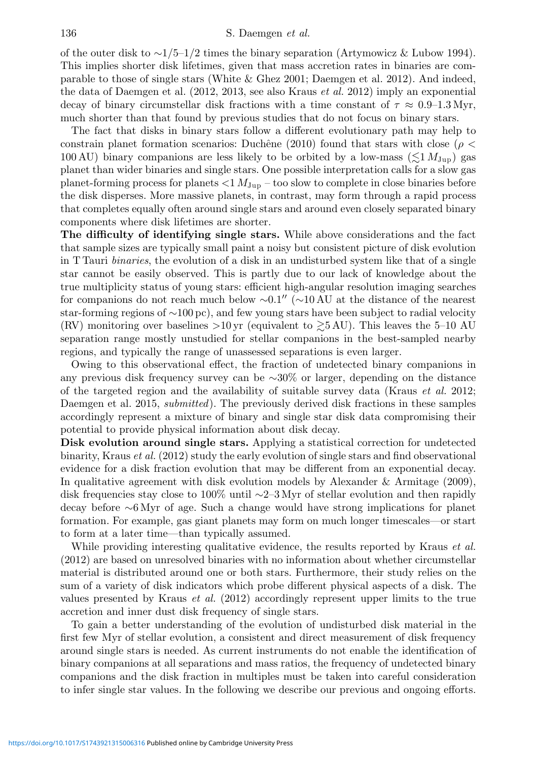of the outer disk to ∼1/5–1/2 times the binary separation (Artymowicz & Lubow 1994). This implies shorter disk lifetimes, given that mass accretion rates in binaries are comparable to those of single stars (White & Ghez 2001; Daemgen et al. 2012). And indeed, the data of Daemgen et al. (2012, 2013, see also Kraus *et al.* 2012) imply an exponential decay of binary circumstellar disk fractions with a time constant of  $\tau \approx 0.9{\text -}1.3 \text{ Myr}$ , much shorter than that found by previous studies that do not focus on binary stars.

The fact that disks in binary stars follow a different evolutionary path may help to constrain planet formation scenarios: Duchêne (2010) found that stars with close ( $\rho$  < 100 AU) binary companions are less likely to be orbited by a low-mass  $(\lesssim 1 M_{\rm Jup})$  gas planet than wider binaries and single stars. One possible interpretation calls for a slow gas planet-forming process for planets  $<1 M_{\rm Jup}$  – too slow to complete in close binaries before the disk disperses. More massive planets, in contrast, may form through a rapid process that completes equally often around single stars and around even closely separated binary components where disk lifetimes are shorter.

**The difficulty of identifying single stars.** While above considerations and the fact that sample sizes are typically small paint a noisy but consistent picture of disk evolution in T Tauri *binaries*, the evolution of a disk in an undisturbed system like that of a single star cannot be easily observed. This is partly due to our lack of knowledge about the true multiplicity status of young stars: efficient high-angular resolution imaging searches for companions do not reach much below  $\sim 0.1''$  ( $\sim 10 \text{ AU}$  at the distance of the nearest star-forming regions of ∼100 pc), and few young stars have been subject to radial velocity (RV) monitoring over baselines  $>10 \,\text{yr}$  (equivalent to  $\gtrsim 5 \,\text{AU}$ ). This leaves the 5–10 AU separation range mostly unstudied for stellar companions in the best-sampled nearby regions, and typically the range of unassessed separations is even larger.

Owing to this observational effect, the fraction of undetected binary companions in any previous disk frequency survey can be ∼30% or larger, depending on the distance of the targeted region and the availability of suitable survey data (Kraus  $et \ al. 2012;$ Daemgen et al. 2015, *submitted*). The previously derived disk fractions in these samples accordingly represent a mixture of binary and single star disk data compromising their potential to provide physical information about disk decay.

**Disk evolution around single stars.** Applying a statistical correction for undetected binarity, Kraus *et al.* (2012) study the early evolution of single stars and find observational evidence for a disk fraction evolution that may be different from an exponential decay. In qualitative agreement with disk evolution models by Alexander & Armitage (2009), disk frequencies stay close to 100% until ∼2–3 Myr of stellar evolution and then rapidly decay before ∼6 Myr of age. Such a change would have strong implications for planet formation. For example, gas giant planets may form on much longer timescales—or start to form at a later time—than typically assumed.

While providing interesting qualitative evidence, the results reported by Kraus *et al.* (2012) are based on unresolved binaries with no information about whether circumstellar material is distributed around one or both stars. Furthermore, their study relies on the sum of a variety of disk indicators which probe different physical aspects of a disk. The values presented by Kraus *et al.* (2012) accordingly represent upper limits to the true accretion and inner dust disk frequency of single stars.

To gain a better understanding of the evolution of undisturbed disk material in the first few Myr of stellar evolution, a consistent and direct measurement of disk frequency around single stars is needed. As current instruments do not enable the identification of binary companions at all separations and mass ratios, the frequency of undetected binary companions and the disk fraction in multiples must be taken into careful consideration to infer single star values. In the following we describe our previous and ongoing efforts.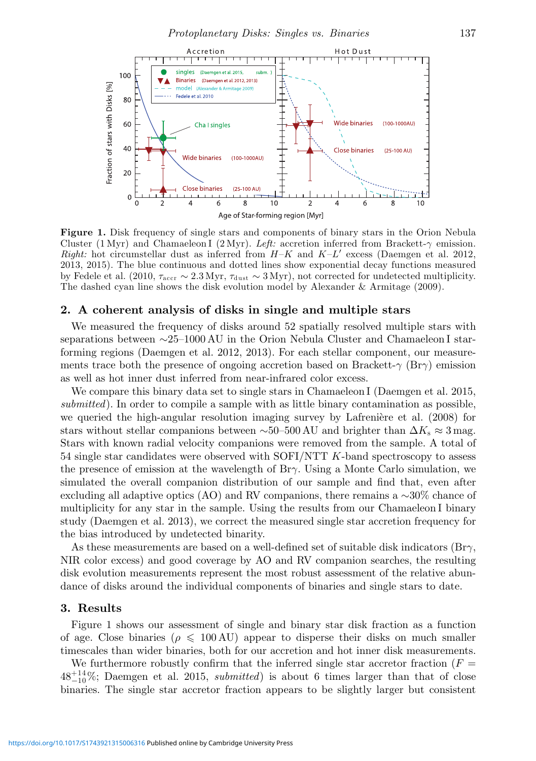

Figure 1. Disk frequency of single stars and components of binary stars in the Orion Nebula Cluster (1 Myr) and Chamaeleon I (2 Myr). Left: accretion inferred from Brackett- $\gamma$  emission. Right: hot circumstellar dust as inferred from  $H-K$  and  $K-L'$  excess (Daemgen et al. 2012, 2013, 2015). The blue continuous and dotted lines show exponential decay functions measured by Fedele et al. (2010,  $\tau_{\text{accr}} \sim 2.3 \text{ Myr}$ ,  $\tau_{\text{dust}} \sim 3 \text{ Myr}$ ), not corrected for undetected multiplicity. The dashed cyan line shows the disk evolution model by Alexander & Armitage (2009).

#### **2. A coherent analysis of disks in single and multiple stars**

We measured the frequency of disks around 52 spatially resolved multiple stars with separations between ∼25–1000 AU in the Orion Nebula Cluster and Chamaeleon I starforming regions (Daemgen et al. 2012, 2013). For each stellar component, our measurements trace both the presence of ongoing accretion based on Brackett- $\gamma$  (Br $\gamma$ ) emission as well as hot inner dust inferred from near-infrared color excess.

We compare this binary data set to single stars in Chamaeleon I (Daemgen et al. 2015, submitted). In order to compile a sample with as little binary contamination as possible, we queried the high-angular resolution imaging survey by Lafrenière et al. (2008) for stars without stellar companions between ~50–500 AU and brighter than  $\Delta K_s \approx 3$  mag. Stars with known radial velocity companions were removed from the sample. A total of  $54$  single star candidates were observed with SOFI/NTT  $K$ -band spectroscopy to assess the presence of emission at the wavelength of  $Br\gamma$ . Using a Monte Carlo simulation, we simulated the overall companion distribution of our sample and find that, even after excluding all adaptive optics (AO) and RV companions, there remains a ∼30% chance of multiplicity for any star in the sample. Using the results from our Chamaeleon I binary study (Daemgen et al. 2013), we correct the measured single star accretion frequency for the bias introduced by undetected binarity.

As these measurements are based on a well-defined set of suitable disk indicators ( $\text{Br}\gamma$ , NIR color excess) and good coverage by AO and RV companion searches, the resulting disk evolution measurements represent the most robust assessment of the relative abundance of disks around the individual components of binaries and single stars to date.

#### **3. Results**

Figure 1 shows our assessment of single and binary star disk fraction as a function of age. Close binaries ( $\rho \leq 100 \text{ AU}$ ) appear to disperse their disks on much smaller timescales than wider binaries, both for our accretion and hot inner disk measurements.

We furthermore robustly confirm that the inferred single star accretor fraction  $(F =$  $48^{+14}_{-10}\%$ ; Daemgen et al. 2015, *submitted*) is about 6 times larger than that of close binaries. The single star accretor fraction appears to be slightly larger but consistent